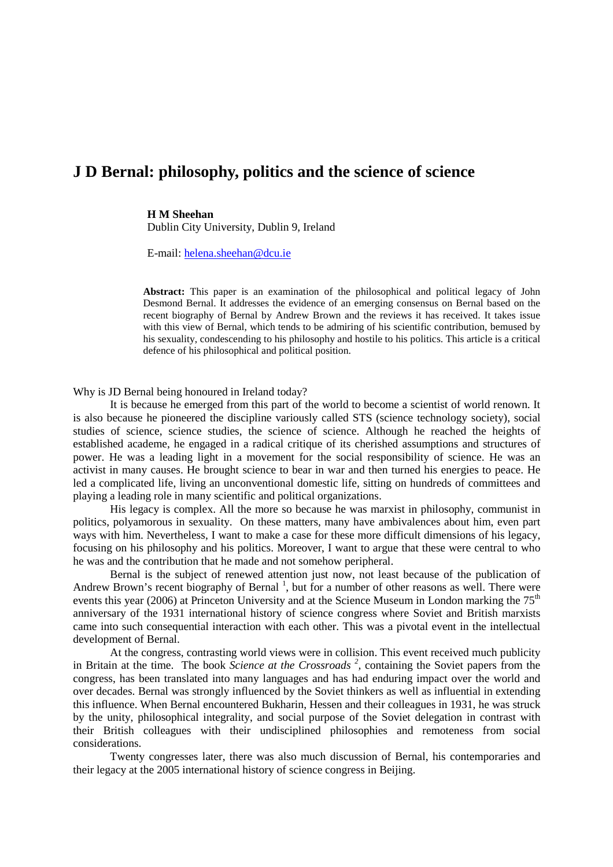## **J D Bernal: philosophy, politics and the science of science**

## **H M Sheehan**

Dublin City University, Dublin 9, Ireland

E-mail: helena.sheehan@dcu.ie

**Abstract:** This paper is an examination of the philosophical and political legacy of John Desmond Bernal. It addresses the evidence of an emerging consensus on Bernal based on the recent biography of Bernal by Andrew Brown and the reviews it has received. It takes issue with this view of Bernal, which tends to be admiring of his scientific contribution, bemused by his sexuality, condescending to his philosophy and hostile to his politics. This article is a critical defence of his philosophical and political position.

Why is JD Bernal being honoured in Ireland today?

 It is because he emerged from this part of the world to become a scientist of world renown. It is also because he pioneered the discipline variously called STS (science technology society), social studies of science, science studies, the science of science. Although he reached the heights of established academe, he engaged in a radical critique of its cherished assumptions and structures of power. He was a leading light in a movement for the social responsibility of science. He was an activist in many causes. He brought science to bear in war and then turned his energies to peace. He led a complicated life, living an unconventional domestic life, sitting on hundreds of committees and playing a leading role in many scientific and political organizations.

 His legacy is complex. All the more so because he was marxist in philosophy, communist in politics, polyamorous in sexuality. On these matters, many have ambivalences about him, even part ways with him. Nevertheless, I want to make a case for these more difficult dimensions of his legacy, focusing on his philosophy and his politics. Moreover, I want to argue that these were central to who he was and the contribution that he made and not somehow peripheral.

 Bernal is the subject of renewed attention just now, not least because of the publication of Andrew Brown's recent biography of Bernal<sup>1</sup>, but for a number of other reasons as well. There were events this year (2006) at Princeton University and at the Science Museum in London marking the 75<sup>th</sup> anniversary of the 1931 international history of science congress where Soviet and British marxists came into such consequential interaction with each other. This was a pivotal event in the intellectual development of Bernal.

 At the congress, contrasting world views were in collision. This event received much publicity in Britain at the time. The book *Science at the Crossroads<sup>2</sup>*, containing the Soviet papers from the congress, has been translated into many languages and has had enduring impact over the world and over decades. Bernal was strongly influenced by the Soviet thinkers as well as influential in extending this influence. When Bernal encountered Bukharin, Hessen and their colleagues in 1931, he was struck by the unity, philosophical integrality, and social purpose of the Soviet delegation in contrast with their British colleagues with their undisciplined philosophies and remoteness from social considerations.

 Twenty congresses later, there was also much discussion of Bernal, his contemporaries and their legacy at the 2005 international history of science congress in Beijing.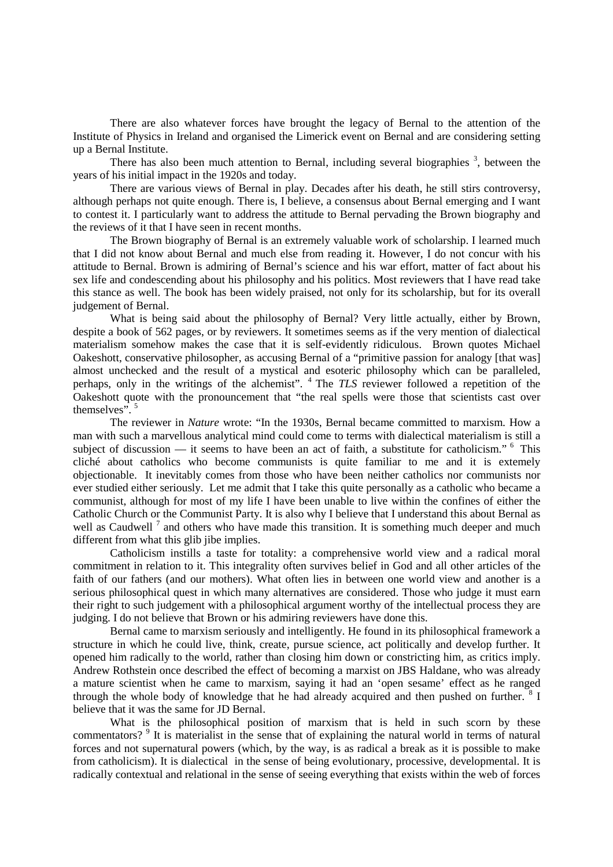There are also whatever forces have brought the legacy of Bernal to the attention of the Institute of Physics in Ireland and organised the Limerick event on Bernal and are considering setting up a Bernal Institute.

There has also been much attention to Bernal, including several biographies  $3$ , between the years of his initial impact in the 1920s and today.

 There are various views of Bernal in play. Decades after his death, he still stirs controversy, although perhaps not quite enough. There is, I believe, a consensus about Bernal emerging and I want to contest it. I particularly want to address the attitude to Bernal pervading the Brown biography and the reviews of it that I have seen in recent months.

 The Brown biography of Bernal is an extremely valuable work of scholarship. I learned much that I did not know about Bernal and much else from reading it. However, I do not concur with his attitude to Bernal. Brown is admiring of Bernal's science and his war effort, matter of fact about his sex life and condescending about his philosophy and his politics. Most reviewers that I have read take this stance as well. The book has been widely praised, not only for its scholarship, but for its overall judgement of Bernal.

What is being said about the philosophy of Bernal? Very little actually, either by Brown, despite a book of 562 pages, or by reviewers. It sometimes seems as if the very mention of dialectical materialism somehow makes the case that it is self-evidently ridiculous. Brown quotes Michael Oakeshott, conservative philosopher, as accusing Bernal of a "primitive passion for analogy [that was] almost unchecked and the result of a mystical and esoteric philosophy which can be paralleled, perhaps, only in the writings of the alchemist". <sup>4</sup> The *TLS* reviewer followed a repetition of the Oakeshott quote with the pronouncement that "the real spells were those that scientists cast over themselves". <sup>5</sup>

 The reviewer in *Nature* wrote: "In the 1930s, Bernal became committed to marxism. How a man with such a marvellous analytical mind could come to terms with dialectical materialism is still a subject of discussion — it seems to have been an act of faith, a substitute for catholicism."  $6$  This cliché about catholics who become communists is quite familiar to me and it is extemely objectionable. It inevitably comes from those who have been neither catholics nor communists nor ever studied either seriously. Let me admit that I take this quite personally as a catholic who became a communist, although for most of my life I have been unable to live within the confines of either the Catholic Church or the Communist Party. It is also why I believe that I understand this about Bernal as well as Caudwell<sup>7</sup> and others who have made this transition. It is something much deeper and much different from what this glib jibe implies.

 Catholicism instills a taste for totality: a comprehensive world view and a radical moral commitment in relation to it. This integrality often survives belief in God and all other articles of the faith of our fathers (and our mothers). What often lies in between one world view and another is a serious philosophical quest in which many alternatives are considered. Those who judge it must earn their right to such judgement with a philosophical argument worthy of the intellectual process they are judging. I do not believe that Brown or his admiring reviewers have done this.

 Bernal came to marxism seriously and intelligently. He found in its philosophical framework a structure in which he could live, think, create, pursue science, act politically and develop further. It opened him radically to the world, rather than closing him down or constricting him, as critics imply. Andrew Rothstein once described the effect of becoming a marxist on JBS Haldane, who was already a mature scientist when he came to marxism, saying it had an 'open sesame' effect as he ranged through the whole body of knowledge that he had already acquired and then pushed on further.<sup>8</sup> I believe that it was the same for JD Bernal.

What is the philosophical position of marxism that is held in such scorn by these commentators?<sup>9</sup> It is materialist in the sense that of explaining the natural world in terms of natural forces and not supernatural powers (which, by the way, is as radical a break as it is possible to make from catholicism). It is dialectical in the sense of being evolutionary, processive, developmental. It is radically contextual and relational in the sense of seeing everything that exists within the web of forces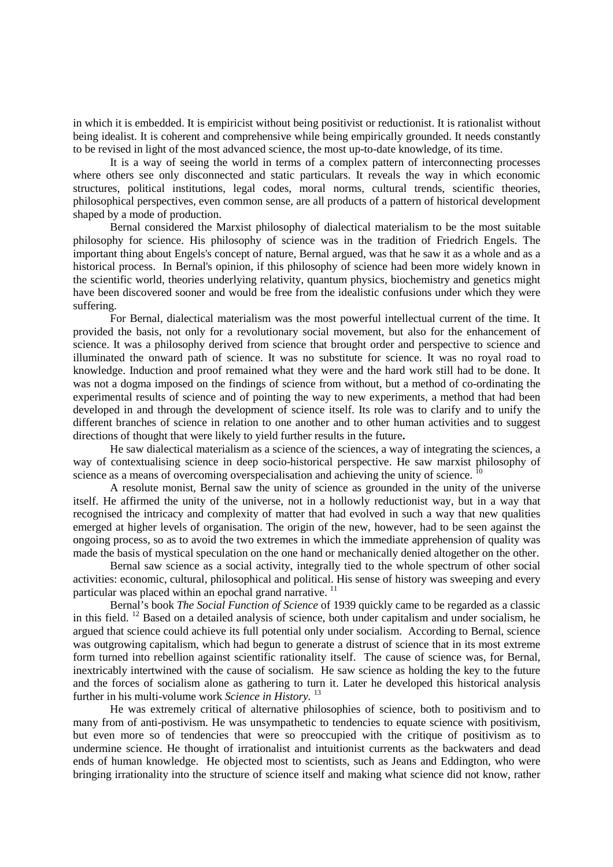in which it is embedded. It is empiricist without being positivist or reductionist. It is rationalist without being idealist. It is coherent and comprehensive while being empirically grounded. It needs constantly to be revised in light of the most advanced science, the most up-to-date knowledge, of its time.

 It is a way of seeing the world in terms of a complex pattern of interconnecting processes where others see only disconnected and static particulars. It reveals the way in which economic structures, political institutions, legal codes, moral norms, cultural trends, scientific theories, philosophical perspectives, even common sense, are all products of a pattern of historical development shaped by a mode of production.

 Bernal considered the Marxist philosophy of dialectical materialism to be the most suitable philosophy for science. His philosophy of science was in the tradition of Friedrich Engels. The important thing about Engels's concept of nature, Bernal argued, was that he saw it as a whole and as a historical process. In Bernal's opinion, if this philosophy of science had been more widely known in the scientific world, theories underlying relativity, quantum physics, biochemistry and genetics might have been discovered sooner and would be free from the idealistic confusions under which they were suffering.

 For Bernal, dialectical materialism was the most powerful intellectual current of the time. It provided the basis, not only for a revolutionary social movement, but also for the enhancement of science. It was a philosophy derived from science that brought order and perspective to science and illuminated the onward path of science. It was no substitute for science. It was no royal road to knowledge. Induction and proof remained what they were and the hard work still had to be done. It was not a dogma imposed on the findings of science from without, but a method of co-ordinating the experimental results of science and of pointing the way to new experiments, a method that had been developed in and through the development of science itself. Its role was to clarify and to unify the different branches of science in relation to one another and to other human activities and to suggest directions of thought that were likely to yield further results in the future**.**

 He saw dialectical materialism as a science of the sciences, a way of integrating the sciences, a way of contextualising science in deep socio-historical perspective. He saw marxist philosophy of science as a means of overcoming overspecialisation and achieving the unity of science.

 A resolute monist, Bernal saw the unity of science as grounded in the unity of the universe itself. He affirmed the unity of the universe, not in a hollowly reductionist way, but in a way that recognised the intricacy and complexity of matter that had evolved in such a way that new qualities emerged at higher levels of organisation. The origin of the new, however, had to be seen against the ongoing process, so as to avoid the two extremes in which the immediate apprehension of quality was made the basis of mystical speculation on the one hand or mechanically denied altogether on the other.

 Bernal saw science as a social activity, integrally tied to the whole spectrum of other social activities: economic, cultural, philosophical and political. His sense of history was sweeping and every particular was placed within an epochal grand narrative.<sup>11</sup>

 Bernal's book *The Social Function of Science* of 1939 quickly came to be regarded as a classic in this field. <sup>12</sup> Based on a detailed analysis of science, both under capitalism and under socialism, he argued that science could achieve its full potential only under socialism. According to Bernal, science was outgrowing capitalism, which had begun to generate a distrust of science that in its most extreme form turned into rebellion against scientific rationality itself. The cause of science was, for Bernal, inextricably intertwined with the cause of socialism. He saw science as holding the key to the future and the forces of socialism alone as gathering to turn it. Later he developed this historical analysis further in his multi-volume work *Science in History.* <sup>13</sup>

 He was extremely critical of alternative philosophies of science, both to positivism and to many from of anti-postivism. He was unsympathetic to tendencies to equate science with positivism, but even more so of tendencies that were so preoccupied with the critique of positivism as to undermine science. He thought of irrationalist and intuitionist currents as the backwaters and dead ends of human knowledge. He objected most to scientists, such as Jeans and Eddington, who were bringing irrationality into the structure of science itself and making what science did not know, rather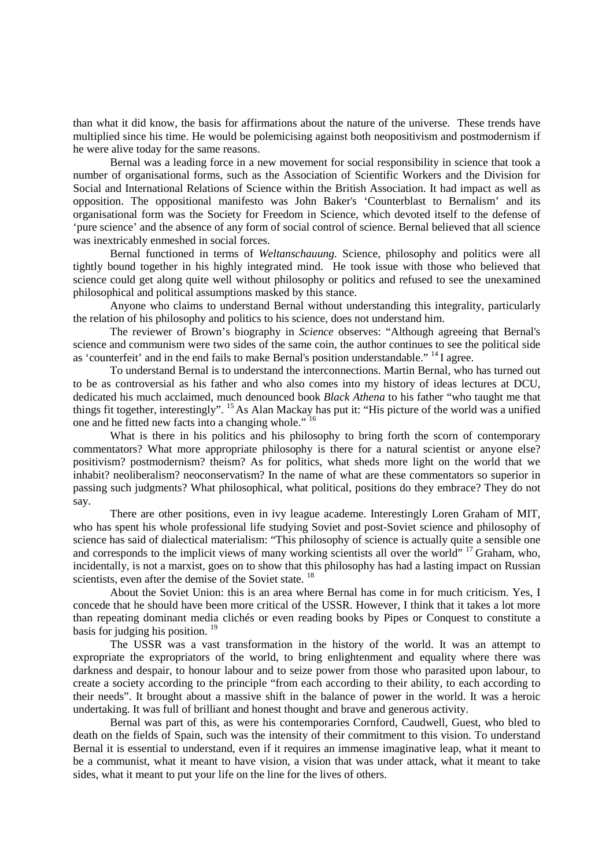than what it did know, the basis for affirmations about the nature of the universe. These trends have multiplied since his time. He would be polemicising against both neopositivism and postmodernism if he were alive today for the same reasons.

 Bernal was a leading force in a new movement for social responsibility in science that took a number of organisational forms, such as the Association of Scientific Workers and the Division for Social and International Relations of Science within the British Association. It had impact as well as opposition. The oppositional manifesto was John Baker's 'Counterblast to Bernalism' and its organisational form was the Society for Freedom in Science, which devoted itself to the defense of 'pure science' and the absence of any form of social control of science. Bernal believed that all science was inextricably enmeshed in social forces.

 Bernal functioned in terms of *Weltanschauung.* Science, philosophy and politics were all tightly bound together in his highly integrated mind. He took issue with those who believed that science could get along quite well without philosophy or politics and refused to see the unexamined philosophical and political assumptions masked by this stance.

 Anyone who claims to understand Bernal without understanding this integrality, particularly the relation of his philosophy and politics to his science, does not understand him.

 The reviewer of Brown's biography in *Science* observes: "Although agreeing that Bernal's science and communism were two sides of the same coin, the author continues to see the political side as 'counterfeit' and in the end fails to make Bernal's position understandable." <sup>14</sup>I agree.

 To understand Bernal is to understand the interconnections. Martin Bernal, who has turned out to be as controversial as his father and who also comes into my history of ideas lectures at DCU, dedicated his much acclaimed, much denounced book *Black Athena* to his father "who taught me that things fit together, interestingly". <sup>15</sup> As Alan Mackay has put it: "His picture of the world was a unified one and he fitted new facts into a changing whole."<sup>16</sup>

What is there in his politics and his philosophy to bring forth the scorn of contemporary commentators? What more appropriate philosophy is there for a natural scientist or anyone else? positivism? postmodernism? theism? As for politics, what sheds more light on the world that we inhabit? neoliberalism? neoconservatism? In the name of what are these commentators so superior in passing such judgments? What philosophical, what political, positions do they embrace? They do not say.

 There are other positions, even in ivy league academe. Interestingly Loren Graham of MIT, who has spent his whole professional life studying Soviet and post-Soviet science and philosophy of science has said of dialectical materialism: "This philosophy of science is actually quite a sensible one and corresponds to the implicit views of many working scientists all over the world" <sup>17</sup> Graham, who, incidentally, is not a marxist, goes on to show that this philosophy has had a lasting impact on Russian scientists, even after the demise of the Soviet state. <sup>18</sup>

 About the Soviet Union: this is an area where Bernal has come in for much criticism. Yes, I concede that he should have been more critical of the USSR. However, I think that it takes a lot more than repeating dominant media clichés or even reading books by Pipes or Conquest to constitute a basis for judging his position. <sup>19</sup>

 The USSR was a vast transformation in the history of the world. It was an attempt to expropriate the expropriators of the world, to bring enlightenment and equality where there was darkness and despair, to honour labour and to seize power from those who parasited upon labour, to create a society according to the principle "from each according to their ability, to each according to their needs". It brought about a massive shift in the balance of power in the world. It was a heroic undertaking. It was full of brilliant and honest thought and brave and generous activity.

 Bernal was part of this, as were his contemporaries Cornford, Caudwell, Guest, who bled to death on the fields of Spain, such was the intensity of their commitment to this vision. To understand Bernal it is essential to understand, even if it requires an immense imaginative leap, what it meant to be a communist, what it meant to have vision, a vision that was under attack, what it meant to take sides, what it meant to put your life on the line for the lives of others.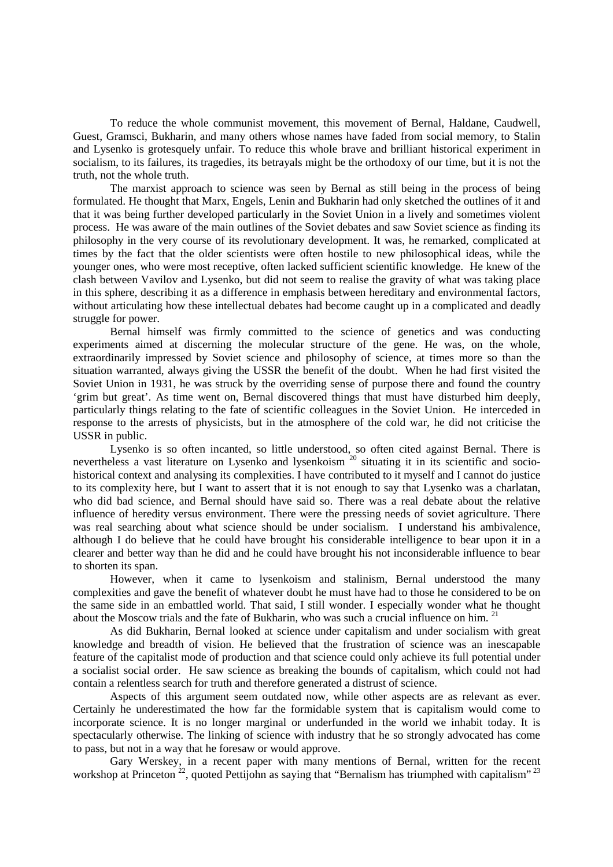To reduce the whole communist movement, this movement of Bernal, Haldane, Caudwell, Guest, Gramsci, Bukharin, and many others whose names have faded from social memory, to Stalin and Lysenko is grotesquely unfair. To reduce this whole brave and brilliant historical experiment in socialism, to its failures, its tragedies, its betrayals might be the orthodoxy of our time, but it is not the truth, not the whole truth.

 The marxist approach to science was seen by Bernal as still being in the process of being formulated. He thought that Marx, Engels, Lenin and Bukharin had only sketched the outlines of it and that it was being further developed particularly in the Soviet Union in a lively and sometimes violent process. He was aware of the main outlines of the Soviet debates and saw Soviet science as finding its philosophy in the very course of its revolutionary development. It was, he remarked, complicated at times by the fact that the older scientists were often hostile to new philosophical ideas, while the younger ones, who were most receptive, often lacked sufficient scientific knowledge. He knew of the clash between Vavilov and Lysenko, but did not seem to realise the gravity of what was taking place in this sphere, describing it as a difference in emphasis between hereditary and environmental factors, without articulating how these intellectual debates had become caught up in a complicated and deadly struggle for power.

 Bernal himself was firmly committed to the science of genetics and was conducting experiments aimed at discerning the molecular structure of the gene. He was, on the whole, extraordinarily impressed by Soviet science and philosophy of science, at times more so than the situation warranted, always giving the USSR the benefit of the doubt. When he had first visited the Soviet Union in 1931, he was struck by the overriding sense of purpose there and found the country 'grim but great'. As time went on, Bernal discovered things that must have disturbed him deeply, particularly things relating to the fate of scientific colleagues in the Soviet Union. He interceded in response to the arrests of physicists, but in the atmosphere of the cold war, he did not criticise the USSR in public.

 Lysenko is so often incanted, so little understood, so often cited against Bernal. There is nevertheless a vast literature on Lysenko and lysenkoism<sup>20</sup> situating it in its scientific and sociohistorical context and analysing its complexities. I have contributed to it myself and I cannot do justice to its complexity here, but I want to assert that it is not enough to say that Lysenko was a charlatan, who did bad science, and Bernal should have said so. There was a real debate about the relative influence of heredity versus environment. There were the pressing needs of soviet agriculture. There was real searching about what science should be under socialism. I understand his ambivalence, although I do believe that he could have brought his considerable intelligence to bear upon it in a clearer and better way than he did and he could have brought his not inconsiderable influence to bear to shorten its span.

 However, when it came to lysenkoism and stalinism, Bernal understood the many complexities and gave the benefit of whatever doubt he must have had to those he considered to be on the same side in an embattled world. That said, I still wonder. I especially wonder what he thought about the Moscow trials and the fate of Bukharin, who was such a crucial influence on him.<sup>21</sup>

 As did Bukharin, Bernal looked at science under capitalism and under socialism with great knowledge and breadth of vision. He believed that the frustration of science was an inescapable feature of the capitalist mode of production and that science could only achieve its full potential under a socialist social order. He saw science as breaking the bounds of capitalism, which could not had contain a relentless search for truth and therefore generated a distrust of science.

Aspects of this argument seem outdated now, while other aspects are as relevant as ever. Certainly he underestimated the how far the formidable system that is capitalism would come to incorporate science. It is no longer marginal or underfunded in the world we inhabit today. It is spectacularly otherwise. The linking of science with industry that he so strongly advocated has come to pass, but not in a way that he foresaw or would approve.

 Gary Werskey, in a recent paper with many mentions of Bernal, written for the recent workshop at Princeton<sup>22</sup>, quoted Pettijohn as saying that "Bernalism has triumphed with capitalism"<sup>23</sup>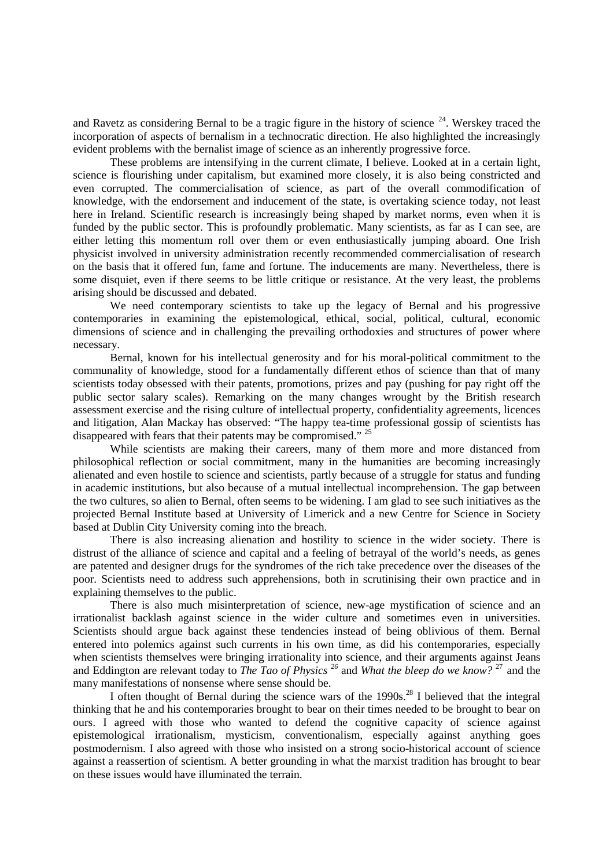and Ravetz as considering Bernal to be a tragic figure in the history of science  $^{24}$ . Werskey traced the incorporation of aspects of bernalism in a technocratic direction. He also highlighted the increasingly evident problems with the bernalist image of science as an inherently progressive force.

 These problems are intensifying in the current climate, I believe. Looked at in a certain light, science is flourishing under capitalism, but examined more closely, it is also being constricted and even corrupted. The commercialisation of science, as part of the overall commodification of knowledge, with the endorsement and inducement of the state, is overtaking science today, not least here in Ireland. Scientific research is increasingly being shaped by market norms, even when it is funded by the public sector. This is profoundly problematic. Many scientists, as far as I can see, are either letting this momentum roll over them or even enthusiastically jumping aboard. One Irish physicist involved in university administration recently recommended commercialisation of research on the basis that it offered fun, fame and fortune. The inducements are many. Nevertheless, there is some disquiet, even if there seems to be little critique or resistance. At the very least, the problems arising should be discussed and debated.

 We need contemporary scientists to take up the legacy of Bernal and his progressive contemporaries in examining the epistemological, ethical, social, political, cultural, economic dimensions of science and in challenging the prevailing orthodoxies and structures of power where necessary.

 Bernal, known for his intellectual generosity and for his moral-political commitment to the communality of knowledge, stood for a fundamentally different ethos of science than that of many scientists today obsessed with their patents, promotions, prizes and pay (pushing for pay right off the public sector salary scales). Remarking on the many changes wrought by the British research assessment exercise and the rising culture of intellectual property, confidentiality agreements, licences and litigation, Alan Mackay has observed: "The happy tea-time professional gossip of scientists has disappeared with fears that their patents may be compromised." <sup>25</sup>

 While scientists are making their careers, many of them more and more distanced from philosophical reflection or social commitment, many in the humanities are becoming increasingly alienated and even hostile to science and scientists, partly because of a struggle for status and funding in academic institutions, but also because of a mutual intellectual incomprehension. The gap between the two cultures, so alien to Bernal, often seems to be widening. I am glad to see such initiatives as the projected Bernal Institute based at University of Limerick and a new Centre for Science in Society based at Dublin City University coming into the breach.

 There is also increasing alienation and hostility to science in the wider society. There is distrust of the alliance of science and capital and a feeling of betrayal of the world's needs, as genes are patented and designer drugs for the syndromes of the rich take precedence over the diseases of the poor. Scientists need to address such apprehensions, both in scrutinising their own practice and in explaining themselves to the public.

 There is also much misinterpretation of science, new-age mystification of science and an irrationalist backlash against science in the wider culture and sometimes even in universities. Scientists should argue back against these tendencies instead of being oblivious of them. Bernal entered into polemics against such currents in his own time, as did his contemporaries, especially when scientists themselves were bringing irrationality into science, and their arguments against Jeans and Eddington are relevant today to *The Tao of Physics*  $^{26}$  and *What the bleep do we know?* <sup>27</sup> and the many manifestations of nonsense where sense should be.

I often thought of Bernal during the science wars of the 1990s.<sup>28</sup> I believed that the integral thinking that he and his contemporaries brought to bear on their times needed to be brought to bear on ours. I agreed with those who wanted to defend the cognitive capacity of science against epistemological irrationalism, mysticism, conventionalism, especially against anything goes postmodernism. I also agreed with those who insisted on a strong socio-historical account of science against a reassertion of scientism. A better grounding in what the marxist tradition has brought to bear on these issues would have illuminated the terrain.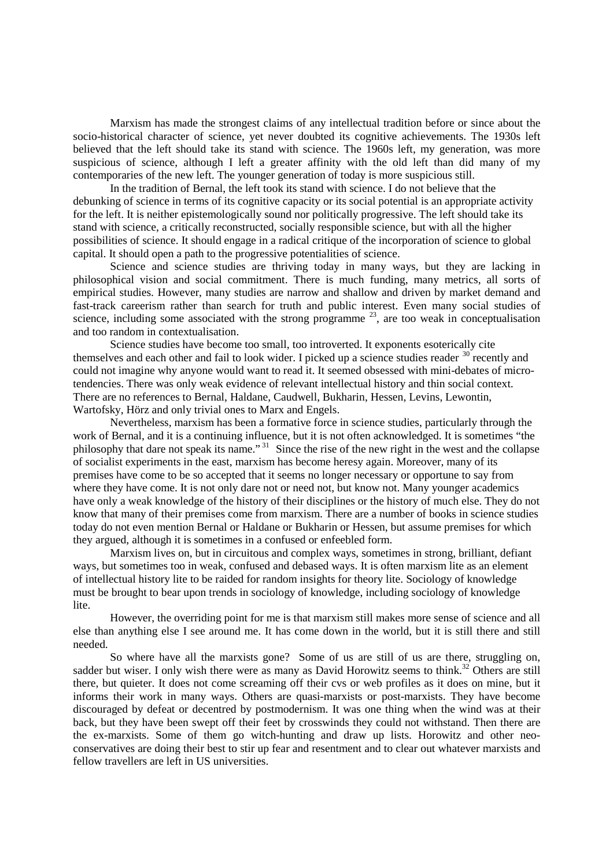Marxism has made the strongest claims of any intellectual tradition before or since about the socio-historical character of science, yet never doubted its cognitive achievements. The 1930s left believed that the left should take its stand with science. The 1960s left, my generation, was more suspicious of science, although I left a greater affinity with the old left than did many of my contemporaries of the new left. The younger generation of today is more suspicious still.

 In the tradition of Bernal, the left took its stand with science. I do not believe that the debunking of science in terms of its cognitive capacity or its social potential is an appropriate activity for the left. It is neither epistemologically sound nor politically progressive. The left should take its stand with science, a critically reconstructed, socially responsible science, but with all the higher possibilities of science. It should engage in a radical critique of the incorporation of science to global capital. It should open a path to the progressive potentialities of science.

 Science and science studies are thriving today in many ways, but they are lacking in philosophical vision and social commitment. There is much funding, many metrics, all sorts of empirical studies. However, many studies are narrow and shallow and driven by market demand and fast-track careerism rather than search for truth and public interest. Even many social studies of science, including some associated with the strong programme  $\frac{23}{2}$ , are too weak in conceptualisation and too random in contextualisation.

 Science studies have become too small, too introverted. It exponents esoterically cite themselves and each other and fail to look wider. I picked up a science studies reader  $30$  recently and could not imagine why anyone would want to read it. It seemed obsessed with mini-debates of microtendencies. There was only weak evidence of relevant intellectual history and thin social context. There are no references to Bernal, Haldane, Caudwell, Bukharin, Hessen, Levins, Lewontin, Wartofsky, Hörz and only trivial ones to Marx and Engels.

 Nevertheless, marxism has been a formative force in science studies, particularly through the work of Bernal, and it is a continuing influence, but it is not often acknowledged. It is sometimes "the philosophy that dare not speak its name."<sup>31</sup> Since the rise of the new right in the west and the collapse of socialist experiments in the east, marxism has become heresy again. Moreover, many of its premises have come to be so accepted that it seems no longer necessary or opportune to say from where they have come. It is not only dare not or need not, but know not. Many younger academics have only a weak knowledge of the history of their disciplines or the history of much else. They do not know that many of their premises come from marxism. There are a number of books in science studies today do not even mention Bernal or Haldane or Bukharin or Hessen, but assume premises for which they argued, although it is sometimes in a confused or enfeebled form.

 Marxism lives on, but in circuitous and complex ways, sometimes in strong, brilliant, defiant ways, but sometimes too in weak, confused and debased ways. It is often marxism lite as an element of intellectual history lite to be raided for random insights for theory lite. Sociology of knowledge must be brought to bear upon trends in sociology of knowledge, including sociology of knowledge lite.

 However, the overriding point for me is that marxism still makes more sense of science and all else than anything else I see around me. It has come down in the world, but it is still there and still needed.

 So where have all the marxists gone? Some of us are still of us are there, struggling on, sadder but wiser. I only wish there were as many as David Horowitz seems to think.<sup>32</sup> Others are still there, but quieter. It does not come screaming off their cvs or web profiles as it does on mine, but it informs their work in many ways. Others are quasi-marxists or post-marxists. They have become discouraged by defeat or decentred by postmodernism. It was one thing when the wind was at their back, but they have been swept off their feet by crosswinds they could not withstand. Then there are the ex-marxists. Some of them go witch-hunting and draw up lists. Horowitz and other neoconservatives are doing their best to stir up fear and resentment and to clear out whatever marxists and fellow travellers are left in US universities.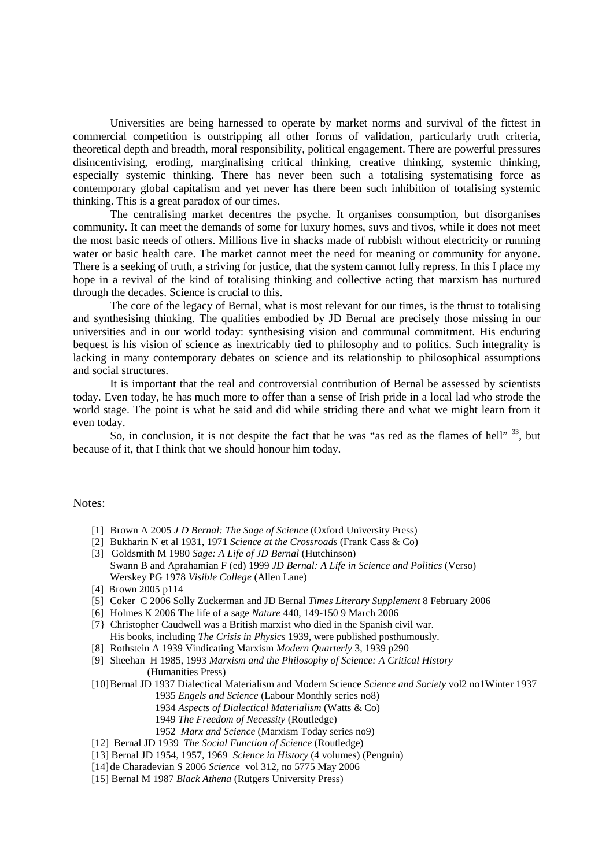Universities are being harnessed to operate by market norms and survival of the fittest in commercial competition is outstripping all other forms of validation, particularly truth criteria, theoretical depth and breadth, moral responsibility, political engagement. There are powerful pressures disincentivising, eroding, marginalising critical thinking, creative thinking, systemic thinking, especially systemic thinking. There has never been such a totalising systematising force as contemporary global capitalism and yet never has there been such inhibition of totalising systemic thinking. This is a great paradox of our times.

 The centralising market decentres the psyche. It organises consumption, but disorganises community. It can meet the demands of some for luxury homes, suvs and tivos, while it does not meet the most basic needs of others. Millions live in shacks made of rubbish without electricity or running water or basic health care. The market cannot meet the need for meaning or community for anyone. There is a seeking of truth, a striving for justice, that the system cannot fully repress. In this I place my hope in a revival of the kind of totalising thinking and collective acting that marxism has nurtured through the decades. Science is crucial to this.

 The core of the legacy of Bernal, what is most relevant for our times, is the thrust to totalising and synthesising thinking. The qualities embodied by JD Bernal are precisely those missing in our universities and in our world today: synthesising vision and communal commitment. His enduring bequest is his vision of science as inextricably tied to philosophy and to politics. Such integrality is lacking in many contemporary debates on science and its relationship to philosophical assumptions and social structures.

 It is important that the real and controversial contribution of Bernal be assessed by scientists today. Even today, he has much more to offer than a sense of Irish pride in a local lad who strode the world stage. The point is what he said and did while striding there and what we might learn from it even today.

So, in conclusion, it is not despite the fact that he was "as red as the flames of hell"  $^{33}$ , but because of it, that I think that we should honour him today.

## Notes:

- [1] Brown A 2005 *J D Bernal: The Sage of Science* (Oxford University Press)
- [2] Bukharin N et al 1931, 1971 *Science at the Crossroads* (Frank Cass & Co)
- [3] Goldsmith M 1980 *Sage: A Life of JD Bernal* (Hutchinson) Swann B and Aprahamian F (ed) 1999 *JD Bernal: A Life in Science and Politics* (Verso) Werskey PG 1978 *Visible College* (Allen Lane)
- [4] Brown 2005 p114
- [5] Coker C 2006 Solly Zuckerman and JD Bernal *Times Literary Supplement* 8 February 2006
- [6] Holmes K 2006 The life of a sage *Nature* 440, 149-150 9 March 2006
- [7} Christopher Caudwell was a British marxist who died in the Spanish civil war.
- His books, including *The Crisis in Physics* 1939, were published posthumously.
- [8] Rothstein A 1939 Vindicating Marxism *Modern Quarterly* 3, 1939 p290
- [9] Sheehan H 1985, 1993 *Marxism and the Philosophy of Science: A Critical History* (Humanities Press)

[10] Bernal JD 1937 Dialectical Materialism and Modern Science *Science and Society* vol2 no1Winter 1937

- 1935 *Engels and Science* (Labour Monthly series no8)
- 1934 *Aspects of Dialectical Materialism* (Watts & Co)
- 1949 *The Freedom of Necessity* (Routledge)
- 1952 *Marx and Science* (Marxism Today series no9)
- [12] Bernal JD 1939 *The Social Function of Science* (Routledge)
- [13] Bernal JD 1954, 1957, 1969 *Science in History* (4 volumes) (Penguin)
- [14] de Charadevian S 2006 *Science* vol 312, no 5775 May 2006
- [15] Bernal M 1987 *Black Athena* (Rutgers University Press)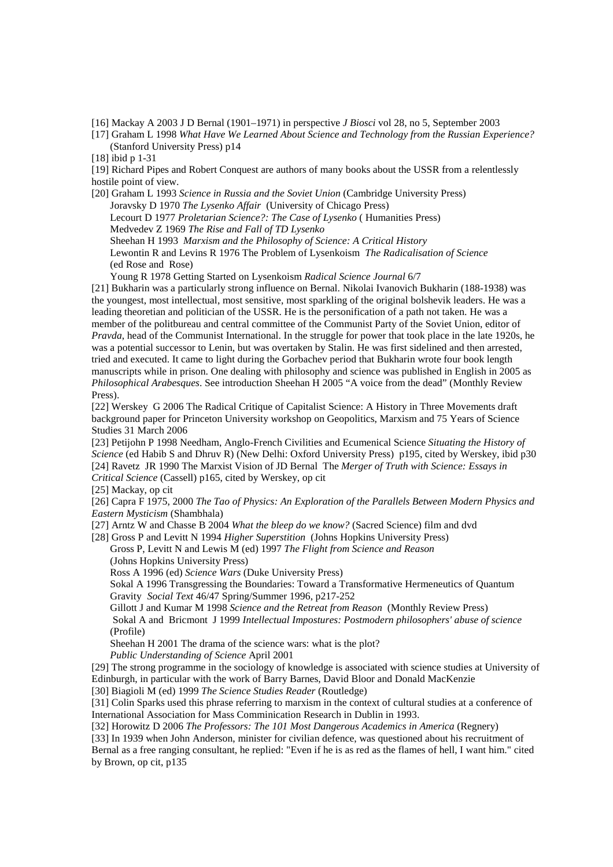[16] Mackay A 2003 J D Bernal (1901–1971) in perspective *J Biosci* vol 28, no 5, September 2003

[17] Graham L 1998 *What Have We Learned About Science and Technology from the Russian Experience?*  (Stanford University Press) p14

[19] Richard Pipes and Robert Conquest are authors of many books about the USSR from a relentlessly hostile point of view.

[20] Graham L 1993 *Science in Russia and the Soviet Union* (Cambridge University Press) Joravsky D 1970 *The Lysenko Affair* (University of Chicago Press) Lecourt D 1977 *Proletarian Science?: The Case of Lysenko* ( Humanities Press) Medvedev Z 1969 *The Rise and Fall of TD Lysenko*  Sheehan H 1993 *Marxism and the Philosophy of Science: A Critical History*

 Lewontin R and Levins R 1976 The Problem of Lysenkoism *The Radicalisation of Science*  (ed Rose and Rose)

Young R 1978 Getting Started on Lysenkoism *Radical Science Journal* 6/7

[21] Bukharin was a particularly strong influence on Bernal. Nikolai Ivanovich Bukharin (188-1938) was the youngest, most intellectual, most sensitive, most sparkling of the original bolshevik leaders. He was a leading theoretian and politician of the USSR. He is the personification of a path not taken. He was a member of the politbureau and central committee of the Communist Party of the Soviet Union, editor of *Pravda*, head of the Communist International. In the struggle for power that took place in the late 1920s, he was a potential successor to Lenin, but was overtaken by Stalin. He was first sidelined and then arrested, tried and executed. It came to light during the Gorbachev period that Bukharin wrote four book length manuscripts while in prison. One dealing with philosophy and science was published in English in 2005 as *Philosophical Arabesques*. See introduction Sheehan H 2005 "A voice from the dead" (Monthly Review Press).

[22] Werskey G 2006 The Radical Critique of Capitalist Science: A History in Three Movements draft background paper for Princeton University workshop on Geopolitics, Marxism and 75 Years of Science Studies 31 March 2006

[23] Petijohn P 1998 Needham, Anglo-French Civilities and Ecumenical Science *Situating the History of Science* (ed Habib S and Dhruv R) (New Delhi: Oxford University Press) p195, cited by Werskey, ibid p30 [24] Ravetz JR 1990 The Marxist Vision of JD Bernal The *Merger of Truth with Science: Essays in Critical Science* (Cassell) p165, cited by Werskey, op cit

[25] Mackay, op cit

[26] Capra F 1975, 2000 *The Tao of Physics: An Exploration of the Parallels Between Modern Physics and Eastern Mysticism* (Shambhala)

[27] Arntz W and Chasse B 2004 *What the bleep do we know?* (Sacred Science) film and dvd

[28] Gross P and Levitt N 1994 *Higher Superstition* (Johns Hopkins University Press) Gross P, Levitt N and Lewis M (ed) 1997 *The Flight from Science and Reason* (Johns Hopkins University Press)

Ross A 1996 (ed) *Science Wars* (Duke University Press)

 Sokal A 1996 Transgressing the Boundaries: Toward a Transformative Hermeneutics of Quantum Gravity *Social Text* 46/47 Spring/Summer 1996, p217-252

 Gillott J and Kumar M 1998 *Science and the Retreat from Reason* (Monthly Review Press) Sokal A and Bricmont J 1999 *Intellectual Impostures: Postmodern philosophers' abuse of science*  (Profile)

 Sheehan H 2001 The drama of the science wars: what is the plot? *Public Understanding of Science* April 2001

[29] The strong programme in the sociology of knowledge is associated with science studies at University of Edinburgh, in particular with the work of Barry Barnes, David Bloor and Donald MacKenzie

[30] Biagioli M (ed) 1999 *The Science Studies Reader* (Routledge)

[31] Colin Sparks used this phrase referring to marxism in the context of cultural studies at a conference of International Association for Mass Comminication Research in Dublin in 1993.

[32] Horowitz D 2006 *The Professors: The 101 Most Dangerous Academics in America* (Regnery)

[33] In 1939 when John Anderson, minister for civilian defence, was questioned about his recruitment of Bernal as a free ranging consultant, he replied: "Even if he is as red as the flames of hell, I want him." cited by Brown, op cit, p135

<sup>[18]</sup> ibid p 1-31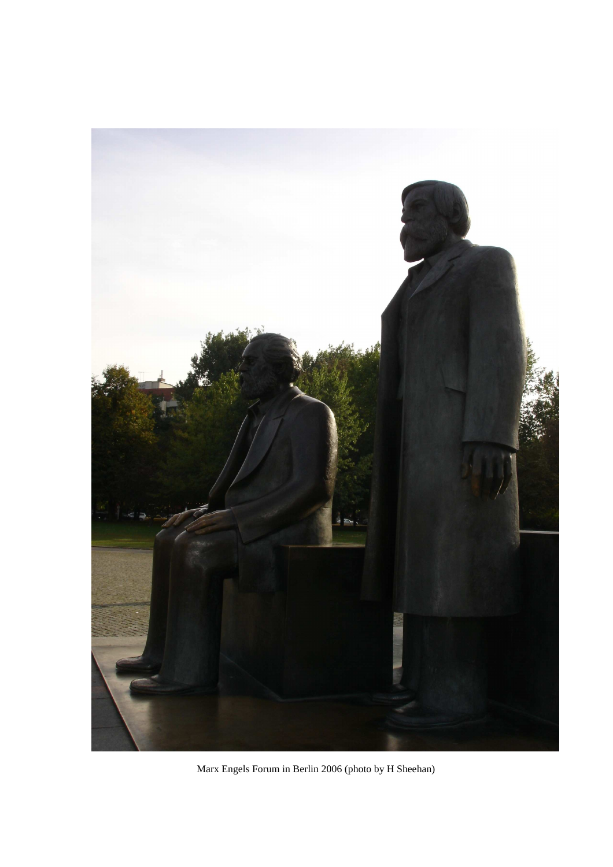

Marx Engels Forum in Berlin 2006 (photo by H Sheehan)